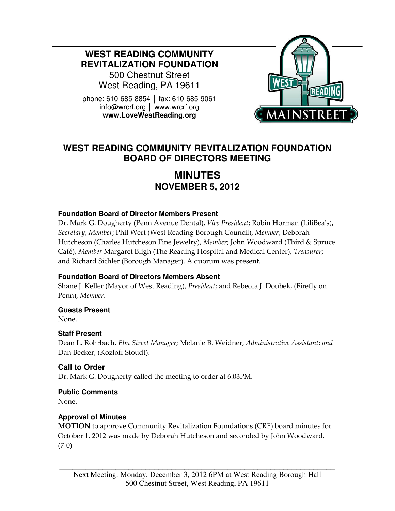**WEST READING COMMUNITY REVITALIZATION FOUNDATION** 

500 Chestnut Street West Reading, PA 19611

phone: 610-685-8854 │ fax: 610-685-9061 info@wrcrf.org │ www.wrcrf.org **www.LoveWestReading.org** 



# **WEST READING COMMUNITY REVITALIZATION FOUNDATION BOARD OF DIRECTORS MEETING**

# **MINUTES NOVEMBER 5, 2012**

### **Foundation Board of Director Members Present**

Dr. Mark G. Dougherty (Penn Avenue Dental), Vice President; Robin Horman (LiliBea's), Secretary; Member; Phil Wert (West Reading Borough Council), Member; Deborah Hutcheson (Charles Hutcheson Fine Jewelry), Member; John Woodward (Third & Spruce Café), Member Margaret Bligh (The Reading Hospital and Medical Center), Treasurer; and Richard Sichler (Borough Manager). A quorum was present.

### **Foundation Board of Directors Members Absent**

Shane J. Keller (Mayor of West Reading), President; and Rebecca J. Doubek, (Firefly on Penn), Member.

#### **Guests Present**

None.

### **Staff Present**

Dean L. Rohrbach, Elm Street Manager; Melanie B. Weidner, Administrative Assistant; and Dan Becker, (Kozloff Stoudt).

# **Call to Order**

Dr. Mark G. Dougherty called the meeting to order at 6:03PM.

### **Public Comments**

None.

### **Approval of Minutes**

MOTION to approve Community Revitalization Foundations (CRF) board minutes for October 1, 2012 was made by Deborah Hutcheson and seconded by John Woodward. (7-0)

**\_\_\_\_\_\_\_\_\_\_\_\_\_\_\_\_\_\_\_\_\_\_\_\_\_\_\_\_\_\_\_\_\_\_\_\_\_\_\_\_\_\_\_\_\_\_\_\_\_\_\_\_\_\_\_\_\_\_\_\_\_\_\_\_**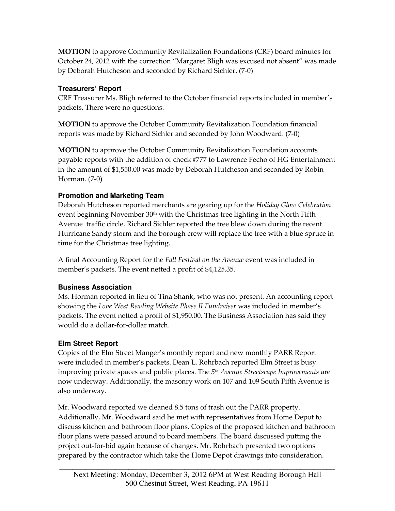MOTION to approve Community Revitalization Foundations (CRF) board minutes for October 24, 2012 with the correction "Margaret Bligh was excused not absent" was made by Deborah Hutcheson and seconded by Richard Sichler. (7-0)

## **Treasurers' Report**

CRF Treasurer Ms. Bligh referred to the October financial reports included in member's packets. There were no questions.

MOTION to approve the October Community Revitalization Foundation financial reports was made by Richard Sichler and seconded by John Woodward. (7-0)

MOTION to approve the October Community Revitalization Foundation accounts payable reports with the addition of check #777 to Lawrence Fecho of HG Entertainment in the amount of \$1,550.00 was made by Deborah Hutcheson and seconded by Robin Horman. (7-0)

# **Promotion and Marketing Team**

Deborah Hutcheson reported merchants are gearing up for the Holiday Glow Celebration event beginning November  $30<sup>th</sup>$  with the Christmas tree lighting in the North Fifth Avenue traffic circle. Richard Sichler reported the tree blew down during the recent Hurricane Sandy storm and the borough crew will replace the tree with a blue spruce in time for the Christmas tree lighting.

A final Accounting Report for the Fall Festival on the Avenue event was included in member's packets. The event netted a profit of \$4,125.35.

# **Business Association**

Ms. Horman reported in lieu of Tina Shank, who was not present. An accounting report showing the Love West Reading Website Phase II Fundraiser was included in member's packets. The event netted a profit of \$1,950.00. The Business Association has said they would do a dollar-for-dollar match.

# **Elm Street Report**

Copies of the Elm Street Manger's monthly report and new monthly PARR Report were included in member's packets. Dean L. Rohrbach reported Elm Street is busy improving private spaces and public places. The 5<sup>th</sup> Avenue Streetscape Improvements are now underway. Additionally, the masonry work on 107 and 109 South Fifth Avenue is also underway.

Mr. Woodward reported we cleaned 8.5 tons of trash out the PARR property. Additionally, Mr. Woodward said he met with representatives from Home Depot to discuss kitchen and bathroom floor plans. Copies of the proposed kitchen and bathroom floor plans were passed around to board members. The board discussed putting the project out-for-bid again because of changes. Mr. Rohrbach presented two options prepared by the contractor which take the Home Depot drawings into consideration.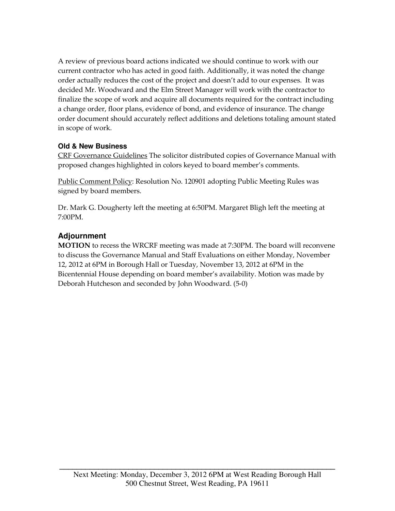A review of previous board actions indicated we should continue to work with our current contractor who has acted in good faith. Additionally, it was noted the change order actually reduces the cost of the project and doesn't add to our expenses. It was decided Mr. Woodward and the Elm Street Manager will work with the contractor to finalize the scope of work and acquire all documents required for the contract including a change order, floor plans, evidence of bond, and evidence of insurance. The change order document should accurately reflect additions and deletions totaling amount stated in scope of work.

## **Old & New Business**

CRF Governance Guidelines The solicitor distributed copies of Governance Manual with proposed changes highlighted in colors keyed to board member's comments.

Public Comment Policy: Resolution No. 120901 adopting Public Meeting Rules was signed by board members.

Dr. Mark G. Dougherty left the meeting at 6:50PM. Margaret Bligh left the meeting at 7:00PM.

# **Adjournment**

MOTION to recess the WRCRF meeting was made at 7:30PM. The board will reconvene to discuss the Governance Manual and Staff Evaluations on either Monday, November 12, 2012 at 6PM in Borough Hall or Tuesday, November 13, 2012 at 6PM in the Bicentennial House depending on board member's availability. Motion was made by Deborah Hutcheson and seconded by John Woodward. (5-0)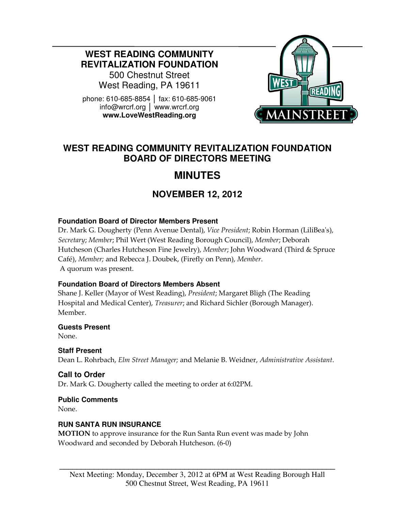**WEST READING COMMUNITY REVITALIZATION FOUNDATION** 

500 Chestnut Street West Reading, PA 19611

phone: 610-685-8854 │ fax: 610-685-9061 info@wrcrf.org │ www.wrcrf.org **www.LoveWestReading.org** 



# **WEST READING COMMUNITY REVITALIZATION FOUNDATION BOARD OF DIRECTORS MEETING**

# **MINUTES**

# **NOVEMBER 12, 2012**

### **Foundation Board of Director Members Present**

Dr. Mark G. Dougherty (Penn Avenue Dental), Vice President; Robin Horman (LiliBea's), Secretary; Member; Phil Wert (West Reading Borough Council), Member; Deborah Hutcheson (Charles Hutcheson Fine Jewelry), Member; John Woodward (Third & Spruce Café), Member; and Rebecca J. Doubek, (Firefly on Penn), Member. A quorum was present.

### **Foundation Board of Directors Members Absent**

Shane J. Keller (Mayor of West Reading), President; Margaret Bligh (The Reading Hospital and Medical Center), Treasurer; and Richard Sichler (Borough Manager). Member.

### **Guests Present**

None.

### **Staff Present**

Dean L. Rohrbach, Elm Street Manager; and Melanie B. Weidner, Administrative Assistant.

# **Call to Order**

Dr. Mark G. Dougherty called the meeting to order at 6:02PM.

# **Public Comments**

None.

### **RUN SANTA RUN INSURANCE**

MOTION to approve insurance for the Run Santa Run event was made by John Woodward and seconded by Deborah Hutcheson. (6-0)